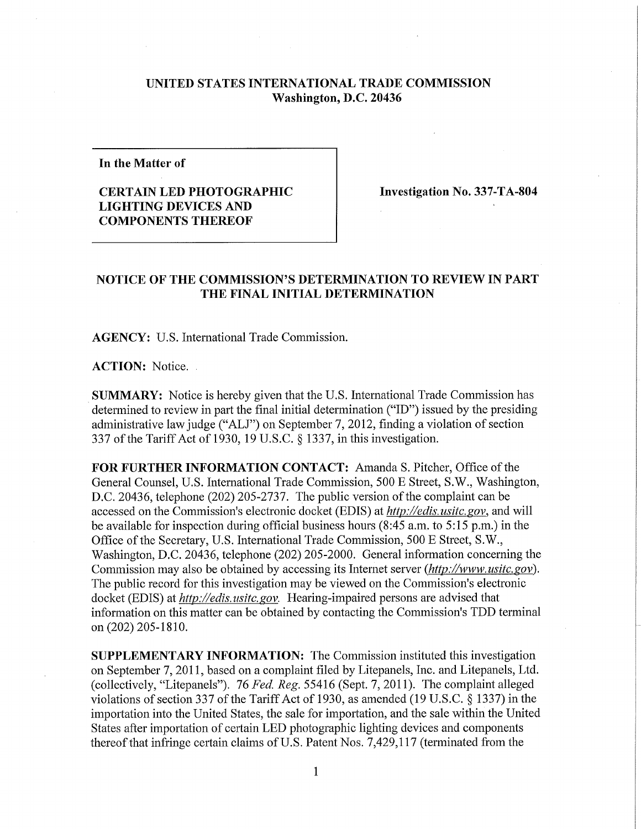## **UNITED STATES INTERNATIONAL TRADE COMMISSION Washington, D.C. 20436**

**In the Matter of** 

## **CERTAIN LED PHOTOGRAPHIC LIGHTING DEVICES AND COMPONENTS THEREOF**

**Investigation No. 337-TA-804** 

## **NOTICE OF THE COMMISSION'S DETERMINATION TO REVIEW IN PART THE FINAL INITIAL DETERMINATION**

**AGENCY:** U.S. International Trade Commission.

**ACTION:** Notice. .

**SUMMARY:** Notice is hereby given that the U.S. International Trade Commission has determined to review in part the final initial determination ("ID") issued by the presiding administrative law judge ("ALJ") on September 7, 2012, finding a violation of section 337 ofthe Tariff Act of 1930, 19 U.S.C. § 1337, in this investigation.

FOR FURTHER INFORMATION CONTACT: Amanda S. Pitcher, Office of the General Counsel, U.S. International Trade Commission, 500 E Street, S.W., Washington, D.C. 20436, telephone (202) 205-2737. The public version of the complaint can be accessed on the Commission's electronic docket (EDIS) at *http://edis. usitc.* gov, and will be available for inspection during official business hours (8:45 a.m. to 5:15 p.m.) in the Office of the Secretary, U.S. International Trade Commission, 500 E Street, S.W., Washington, D.C. 20436, telephone (202) 205-2000. General information concerning the Commission may also be obtained by accessing its Internet server *(http://www.usitc.gov)*. The public record for this investigation may be viewed on the Commission's electronic docket (EDIS) at *http://edis. usitc. gov.* Hearing-impaired persons are advised that information on this matter can be obtained by contacting the Commission's TDD terminal on (202) 205-1810.

**SUPPLEMENTARY INFORMATION:** The Commission instituted this investigation on September 7, 2011, based on a complaint filed by Litepanels, Inc. and Litepanels, Ltd. (collectively, "Litepanels"). 76 *Fed, Reg.* 55416 (Sept. 7, 2011). The complaint alleged violations of section 337 of the Tariff Act of 1930, as amended (19 U.S.C.  $\S$  1337) in the importation into the United States, the sale for importation, and the sale within the United States after importation of certain LED photographic lighting devices and components thereof that infringe certain claims of U.S. Patent Nos. 7,429,117 (terminated from the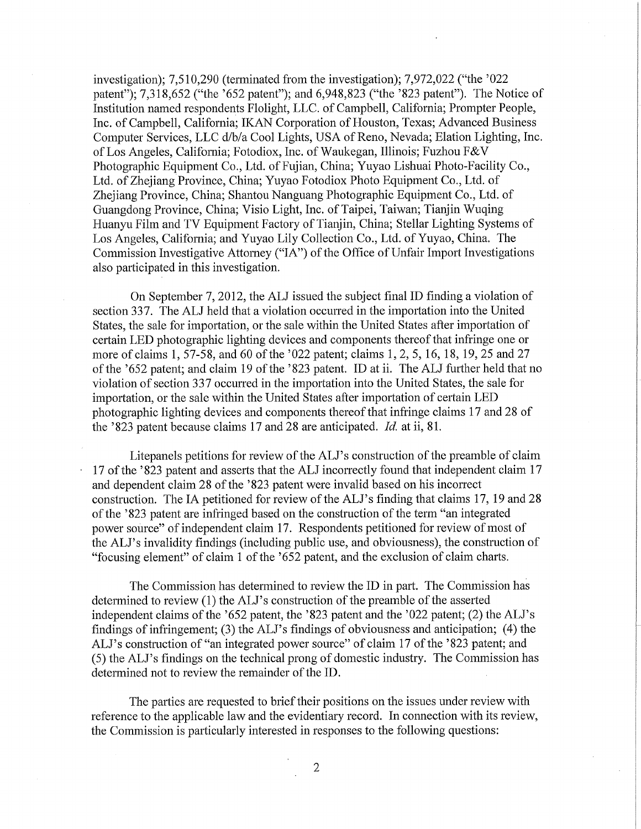investigation); 7,510,290 (terminated from the investigation); 7,972,022 ("the '022 patent"); 7,318,652 ("the '652 patent"); and 6,948,823 ("the '823 patent"). The Notice of Institution named respondents Flolight, LLC. of Campbell, California; Prompter People, Inc. of Campbell, California; IKAN Corporation of Houston, Texas; Advanced Business Computer Services, LLC d/b/a Cool Lights, USA of Reno, Nevada; Elation Lighting, Inc. of Los Angeles, California; Fotodiox, Inc. of Waukegan, Illinois; Fuzhou F&V Photographic Equipment Co., Ltd. of Fujian, China; Yuyao Lishuai Photo-Facility Co., Ltd. of Zhejiang Province, China; Yuyao Fotodiox Photo Equipment Co., Ltd. of Zhejiang Province, China; Shantou Nanguang Photographic Equipment Co., Ltd. of Guangdong Province, China; Visio Light, Inc. of Taipei, Taiwan; Tianjin Wuqing Huanyu Film and TV Equipment Factory of Tianjin, China; Stellar Lighting Systems of Los Angeles, Califomia; and Yuyao Lily Collection Co., Ltd. of Yuyao, China. The Commission Investigative Attorney ("IA") of the Office of Unfair Import Investigations also participated in this investigation.

On September 7,2012, the ALJ issued the subject final ID finding a violation of section 337. The ALJ held that a violation occurred in the importation into the United States, the sale for importation, or the sale within the United States after importation of certain LED photographic lighting devices and components thereof that infringe one or more of claims 1, 57-58, and 60 of the '022 patent; claims 1, 2, 5, 16, 18, 19, 25 and 27 of the '652 patent; and claim 19 of the '823 patent. ID at ii. The ALJ further held that no violation of section 337 occurred in the importation into the United States, the sale for importation, or the sale within the United States after importation of certain LED photographic lighting devices and components thereof that infringe claims 17 and 28 of the '823 patent because claims 17 and 28 are anticipated. *Id.* at ii, 81.

Litepanels petitions for review of the ALJ's construction of the preamble of claim 17 of the '823 patent and asserts that the ALJ incorrectly found that independent claim 17 and dependent claim 28 of the '823 patent were invalid based on his incorrect construction. The IA petitioned for review of the ALJ's finding that claims 17, 19 and 28 of the '823 patent are infringed based on the construction of the term "an integrated power source" of independent claim 17. Respondents petitioned for review of most of the ALJ's invalidity findings (including public use, and obviousness), the construction of "focusing element" of claim 1 of the '652 patent, and the exclusion of claim charts.

The Commission has determined to review the ID in part. The Commission has determined to review (1) the ALJ's construction of the preamble of the asserted independent claims of the '652 patent, the '823 patent and the '022 patent; (2) the ALJ's findings of infringement; (3) the ALJ's findings of obviousness and anticipation; (4) the ALJ's construction of "an integrated power source" of claim 17 of the '823 patent; and (5) the ALJ's findings on the technical prong of domestic industry. The Commission has determined not to review the remainder of the ID.

The parties are requested to brief their positions on the issues under review with reference to the applicable law and the evidentiary record. In connection with its review, the Commission is particularly interested in responses to the following questions: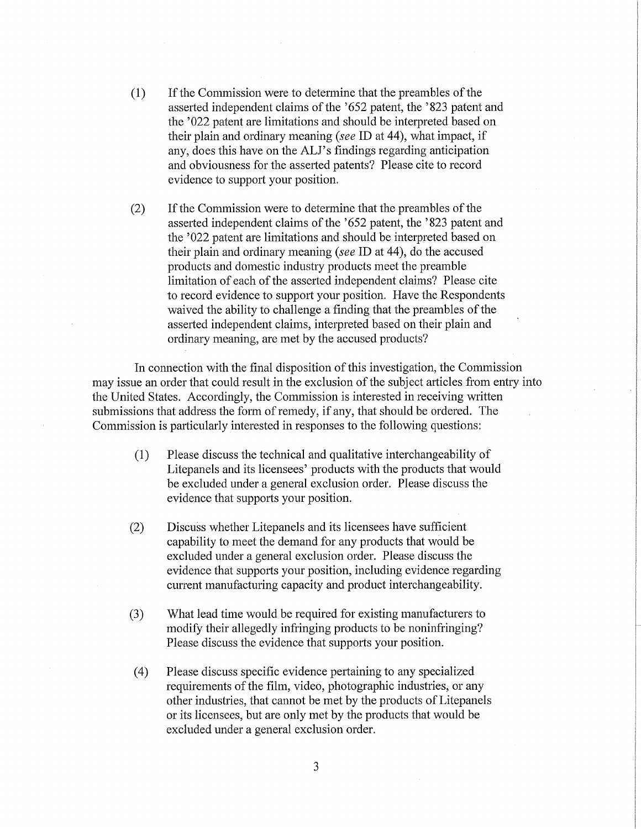- (1) If the Commission were to determine that the preambles of the asserted independent claims of the '652 patent, the '823 patent and the '022 patent are limitations and should be interpreted based on their plain and ordinary meaning *{see* ID at 44), what impact, if any, does this have on the ALJ's findings regarding anticipation and obviousness for the asserted patents? Please cite to record evidence to support your position.
- (2) If the Commission were to determine that the preambles of the asserted independent claims of the '652 patent, the '823 patent and the '022 patent are limitations and should be interpreted based on their plain and ordinary meaning *{see* ID at 44), do the accused products and domestic industry products meet the preamble limitation of each of the asserted independent claims? Please cite to record evidence to support your position. Have the Respondents waived the ability to challenge a finding that the preambles of the asserted independent claims, interpreted based on their plain and ordinary meaning, are met by the accused products?

In connection with the final disposition of this investigation, the Commission may issue an order that could result in the exclusion of the subject articles from entry into the United States. Accordingly, the Commission is interested in receiving written submissions that address the form of remedy, if any, that should be ordered. The Commission is particularly interested in responses to the following questions:

- (1) Please discuss the technical and qualitative interchangeability of Litepanels and its licensees' products with the products that would be excluded under a general exclusion order. Please discuss the evidence that supports your position.
- (2) Discuss whether Litepanels and its licensees have sufficient capability to meet the demand for any products that would be excluded under a general exclusion order. Please discuss the evidence that supports your position, including evidence regarding current manufacturing capacity and product interchangeability.
- (3) What lead time would be required for existing manufacturers to modify their allegedly infringing products to be noninfringing? Please discuss the evidence that supports your position.
- (4) Please discuss specific evidence pertaining to any specialized requirements of the film, video, photographic industries, or any other industries, that cannot be met by the products of Litepanels or its licensees, but are only met by the products that would be excluded under a general exclusion order.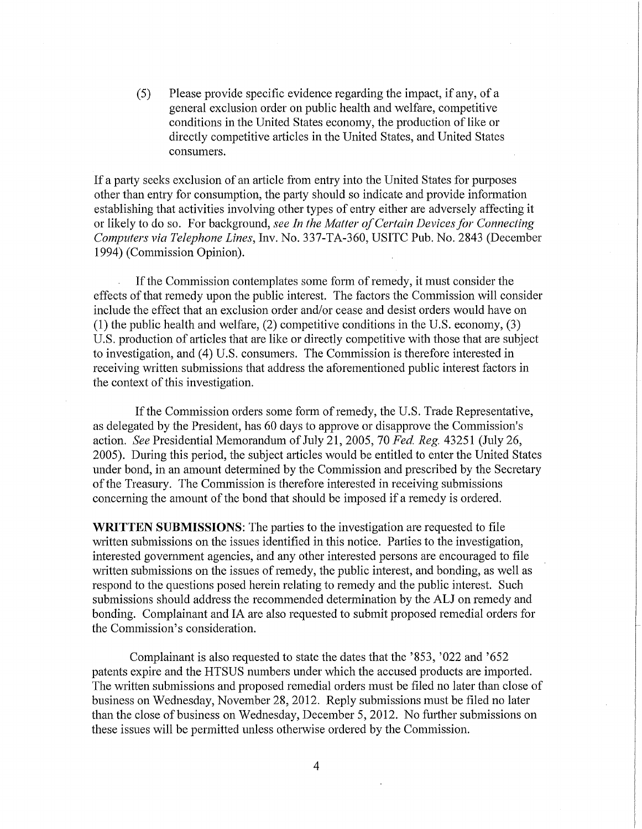(5) Please provide specific evidence regarding the impact, if any, of a general exclusion order on public health and welfare, competitive conditions in the United States economy, the production of like or directly competitive articles in the United States, and United States consumers.

If a party seeks exclusion of an article from entry into the United States for purposes other than entry for consumption, the party should so indicate and provide information establishing that activities involving other types of entry either are adversely affecting it or likely to do so. For background, *see In the Matter of Certain Devices for Connecting Computers via Telephone Lines,* Inv. No. 337-TA-360, USITC Pub. No. 2843 (December 1994) (Commission Opinion).

If the Commission contemplates some form of remedy, it must consider the effects of that remedy upon the public interest. The factors the Commission will consider include the effect that an exclusion order and/or cease and desist orders would have on (1) the public health and welfare, (2) competitive conditions in the U.S. economy, (3) U.S. production of articles that are like or directly competitive with those that are subject to investigation, and (4) U.S. consumers. The Commission is therefore interested in receiving written submissions that address the aforementioned public interest factors in the context of this investigation.

If the Commission orders some form of remedy, the U.S. Trade Representative, as delegated by the President, has 60 days to approve or disapprove the Commission's action. *See* Presidential Memorandum of July 21, 2005, 70 *Fed. Reg.* 43251 (July 26, 2005). During this period, the subject articles would be entitled to enter the United States under bond, in an amount determined by the Commission and prescribed by the Secretary of the Treasury. The Commission is therefore interested in receiving submissions concerning the amount of the bond that should be imposed if a remedy is ordered.

**WRITTEN SUBMISSIONS:** The parties to the investigation are requested to file written submissions on the issues identified in this notice. Parties to the investigation, interested government agencies, and any other interested persons are encouraged to file written submissions on the issues of remedy, the public interest, and bonding, as well as respond to the questions posed herein relating to remedy and the public interest. Such submissions should address the recommended determination by the ALJ on remedy and bonding. Complainant and IA are also requested to submit proposed remedial orders for the Commission's consideration.

Complainant is also requested to state the dates that the '853, '022 and '652 patents expire and the HTSUS numbers under which the accused products are imported. The written submissions and proposed remedial orders must be filed no later than close of business on Wednesday, November 28, 2012. Reply submissions must be filed no later than the close of business on Wednesday, December 5, 2012. No further submissions on these issues will be permitted unless otherwise ordered by the Commission.